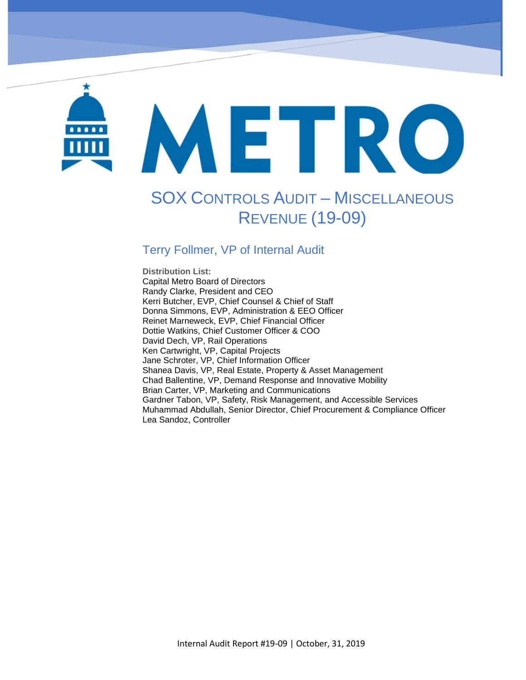# METRO

Sox Controls Audit- Miscellaneous Revenue (19-09)

# SOX CONTROLS AUDIT – MISCELLANEOUS REVENUE (19-09)

### Terry Follmer, VP of Internal Audit

**Distribution List:**  Capital Metro Board of Directors Randy Clarke, President and CEO Kerri Butcher, EVP, Chief Counsel & Chief of Staff Donna Simmons, EVP, Administration & EEO Officer Reinet Marneweck, EVP, Chief Financial Officer Dottie Watkins, Chief Customer Officer & COO David Dech, VP, Rail Operations Ken Cartwright, VP, Capital Projects Jane Schroter, VP, Chief Information Officer Shanea Davis, VP, Real Estate, Property & Asset Management Chad Ballentine, VP, Demand Response and Innovative Mobility Brian Carter, VP, Marketing and Communications Gardner Tabon, VP, Safety, Risk Management, and Accessible Services Muhammad Abdullah, Senior Director, Chief Procurement & Compliance Officer Lea Sandoz, Controller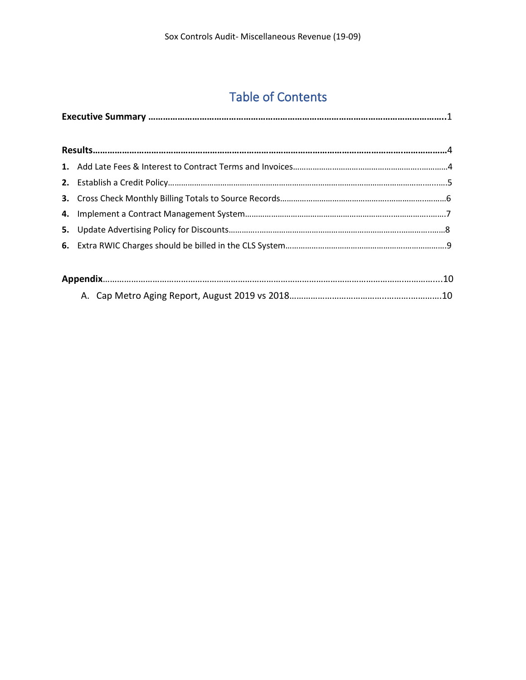# Table of Contents

A. Cap Metro Aging Report, August 2019 vs 2018…………………………………..……….………….10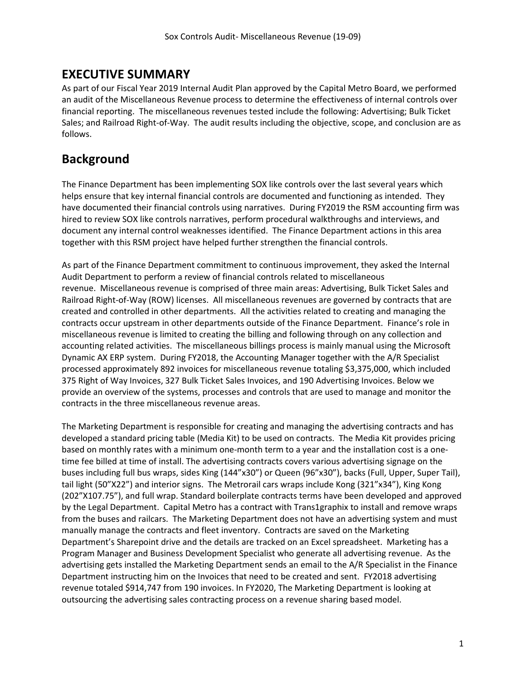### **EXECUTIVE SUMMARY**

As part of our Fiscal Year 2019 Internal Audit Plan approved by the Capital Metro Board, we performed an audit of the Miscellaneous Revenue process to determine the effectiveness of internal controls over financial reporting. The miscellaneous revenues tested include the following: Advertising; Bulk Ticket Sales; and Railroad Right-of-Way. The audit results including the objective, scope, and conclusion are as follows.

### **Background**

The Finance Department has been implementing SOX like controls over the last several years which helps ensure that key internal financial controls are documented and functioning as intended. They have documented their financial controls using narratives. During FY2019 the RSM accounting firm was hired to review SOX like controls narratives, perform procedural walkthroughs and interviews, and document any internal control weaknesses identified. The Finance Department actions in this area together with this RSM project have helped further strengthen the financial controls.

As part of the Finance Department commitment to continuous improvement, they asked the Internal Audit Department to perform a review of financial controls related to miscellaneous revenue. Miscellaneous revenue is comprised of three main areas: Advertising, Bulk Ticket Sales and Railroad Right-of-Way (ROW) licenses. All miscellaneous revenues are governed by contracts that are created and controlled in other departments. All the activities related to creating and managing the contracts occur upstream in other departments outside of the Finance Department. Finance's role in miscellaneous revenue is limited to creating the billing and following through on any collection and accounting related activities. The miscellaneous billings process is mainly manual using the Microsoft Dynamic AX ERP system. During FY2018, the Accounting Manager together with the A/R Specialist processed approximately 892 invoices for miscellaneous revenue totaling \$3,375,000, which included 375 Right of Way Invoices, 327 Bulk Ticket Sales Invoices, and 190 Advertising Invoices. Below we provide an overview of the systems, processes and controls that are used to manage and monitor the contracts in the three miscellaneous revenue areas.

The Marketing Department is responsible for creating and managing the advertising contracts and has developed a standard pricing table (Media Kit) to be used on contracts. The Media Kit provides pricing based on monthly rates with a minimum one-month term to a year and the installation cost is a onetime fee billed at time of install. The advertising contracts covers various advertising signage on the buses including full bus wraps, sides King (144"x30") or Queen (96"x30"), backs (Full, Upper, Super Tail), tail light (50"X22") and interior signs. The Metrorail cars wraps include Kong (321"x34"), King Kong (202"X107.75"), and full wrap. Standard boilerplate contracts terms have been developed and approved by the Legal Department. Capital Metro has a contract with Trans1graphix to install and remove wraps from the buses and railcars. The Marketing Department does not have an advertising system and must manually manage the contracts and fleet inventory. Contracts are saved on the Marketing Department's Sharepoint drive and the details are tracked on an Excel spreadsheet. Marketing has a Program Manager and Business Development Specialist who generate all advertising revenue. As the advertising gets installed the Marketing Department sends an email to the A/R Specialist in the Finance Department instructing him on the Invoices that need to be created and sent. FY2018 advertising revenue totaled \$914,747 from 190 invoices. In FY2020, The Marketing Department is looking at outsourcing the advertising sales contracting process on a revenue sharing based model.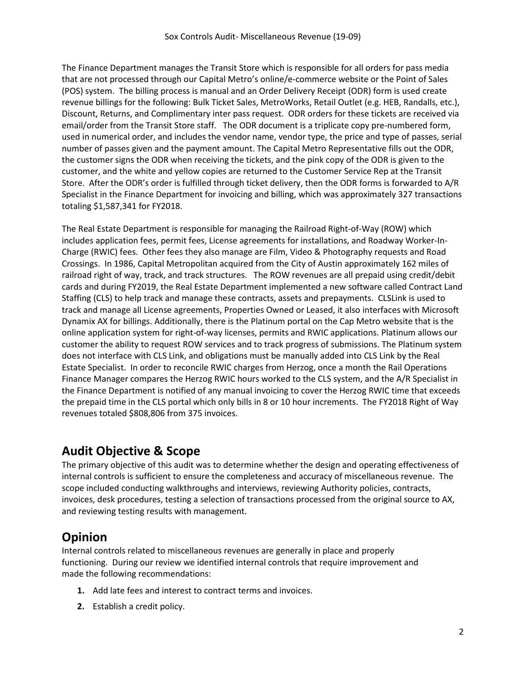The Finance Department manages the Transit Store which is responsible for all orders for pass media that are not processed through our Capital Metro's online/e-commerce website or the Point of Sales (POS) system. The billing process is manual and an Order Delivery Receipt (ODR) form is used create revenue billings for the following: Bulk Ticket Sales, MetroWorks, Retail Outlet (e.g. HEB, Randalls, etc.), Discount, Returns, and Complimentary inter pass request. ODR orders for these tickets are received via email/order from the Transit Store staff. The ODR document is a triplicate copy pre-numbered form, used in numerical order, and includes the vendor name, vendor type, the price and type of passes, serial number of passes given and the payment amount. The Capital Metro Representative fills out the ODR, the customer signs the ODR when receiving the tickets, and the pink copy of the ODR is given to the customer, and the white and yellow copies are returned to the Customer Service Rep at the Transit Store. After the ODR's order is fulfilled through ticket delivery, then the ODR forms is forwarded to A/R Specialist in the Finance Department for invoicing and billing, which was approximately 327 transactions totaling \$1,587,341 for FY2018.

The Real Estate Department is responsible for managing the Railroad Right-of-Way (ROW) which includes application fees, permit fees, License agreements for installations, and Roadway Worker-In-Charge (RWIC) fees. Other fees they also manage are Film, Video & Photography requests and Road Crossings. In 1986, Capital Metropolitan acquired from the City of Austin approximately 162 miles of railroad right of way, track, and track structures. The ROW revenues are all prepaid using credit/debit cards and during FY2019, the Real Estate Department implemented a new software called Contract Land Staffing (CLS) to help track and manage these contracts, assets and prepayments. CLSLink is used to track and manage all License agreements, Properties Owned or Leased, it also interfaces with Microsoft Dynamix AX for billings. Additionally, there is the Platinum portal on the Cap Metro website that is the online application system for right-of-way licenses, permits and RWIC applications. Platinum allows our customer the ability to request ROW services and to track progress of submissions. The Platinum system does not interface with CLS Link, and obligations must be manually added into CLS Link by the Real Estate Specialist. In order to reconcile RWIC charges from Herzog, once a month the Rail Operations Finance Manager compares the Herzog RWIC hours worked to the CLS system, and the A/R Specialist in the Finance Department is notified of any manual invoicing to cover the Herzog RWIC time that exceeds the prepaid time in the CLS portal which only bills in 8 or 10 hour increments. The FY2018 Right of Way revenues totaled \$808,806 from 375 invoices.

### **Audit Objective & Scope**

The primary objective of this audit was to determine whether the design and operating effectiveness of internal controls is sufficient to ensure the completeness and accuracy of miscellaneous revenue. The scope included conducting walkthroughs and interviews, reviewing Authority policies, contracts, invoices, desk procedures, testing a selection of transactions processed from the original source to AX, and reviewing testing results with management.

### **Opinion**

Internal controls related to miscellaneous revenues are generally in place and properly functioning. During our review we identified internal controls that require improvement and made the following recommendations:

- **1.** Add late fees and interest to contract terms and invoices.
- **2.** Establish a credit policy.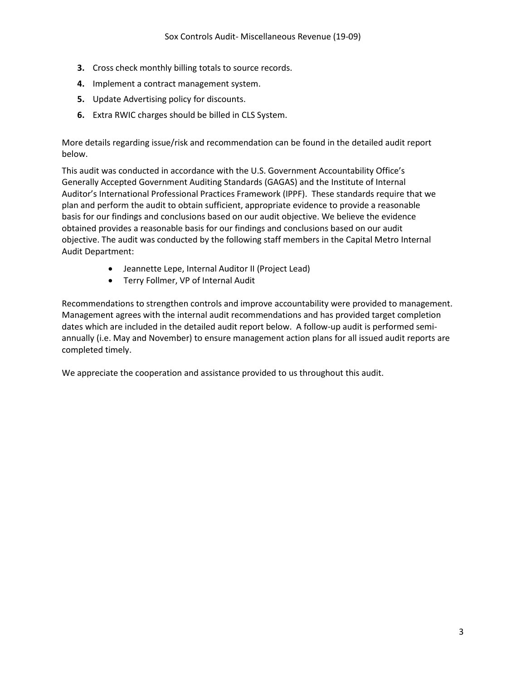- **3.** Cross check monthly billing totals to source records.
- **4.** Implement a contract management system.
- **5.** Update Advertising policy for discounts.
- **6.** Extra RWIC charges should be billed in CLS System.

More details regarding issue/risk and recommendation can be found in the detailed audit report below.

This audit was conducted in accordance with the U.S. Government Accountability Office's Generally Accepted Government Auditing Standards (GAGAS) and the Institute of Internal Auditor's International Professional Practices Framework (IPPF). These standards require that we plan and perform the audit to obtain sufficient, appropriate evidence to provide a reasonable basis for our findings and conclusions based on our audit objective. We believe the evidence obtained provides a reasonable basis for our findings and conclusions based on our audit objective. The audit was conducted by the following staff members in the Capital Metro Internal Audit Department:

- Jeannette Lepe, Internal Auditor II (Project Lead)
- Terry Follmer, VP of Internal Audit

Recommendations to strengthen controls and improve accountability were provided to management. Management agrees with the internal audit recommendations and has provided target completion dates which are included in the detailed audit report below. A follow-up audit is performed semiannually (i.e. May and November) to ensure management action plans for all issued audit reports are completed timely.

We appreciate the cooperation and assistance provided to us throughout this audit.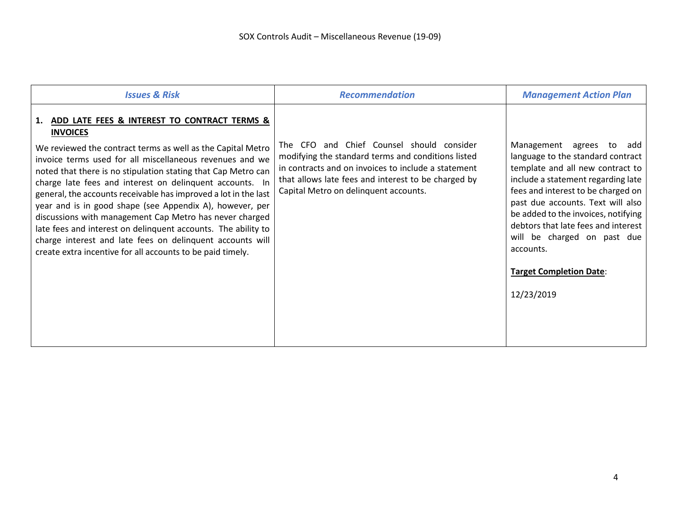| <b>Issues &amp; Risk</b>                                                                                                                                                                                                                                                                                                                                                                                                                                                                                                                                                                                                                                                                                         | <b>Recommendation</b>                                                                                                                                                                                                                                  | <b>Management Action Plan</b>                                                                                                                                                                                                                                                                                                                                                                |
|------------------------------------------------------------------------------------------------------------------------------------------------------------------------------------------------------------------------------------------------------------------------------------------------------------------------------------------------------------------------------------------------------------------------------------------------------------------------------------------------------------------------------------------------------------------------------------------------------------------------------------------------------------------------------------------------------------------|--------------------------------------------------------------------------------------------------------------------------------------------------------------------------------------------------------------------------------------------------------|----------------------------------------------------------------------------------------------------------------------------------------------------------------------------------------------------------------------------------------------------------------------------------------------------------------------------------------------------------------------------------------------|
| 1. ADD LATE FEES & INTEREST TO CONTRACT TERMS &<br><b>INVOICES</b><br>We reviewed the contract terms as well as the Capital Metro<br>invoice terms used for all miscellaneous revenues and we<br>noted that there is no stipulation stating that Cap Metro can<br>charge late fees and interest on delinquent accounts. In<br>general, the accounts receivable has improved a lot in the last<br>year and is in good shape (see Appendix A), however, per<br>discussions with management Cap Metro has never charged<br>late fees and interest on delinquent accounts. The ability to<br>charge interest and late fees on delinquent accounts will<br>create extra incentive for all accounts to be paid timely. | The CFO and Chief Counsel should consider<br>modifying the standard terms and conditions listed<br>in contracts and on invoices to include a statement<br>that allows late fees and interest to be charged by<br>Capital Metro on delinquent accounts. | Management agrees to add<br>language to the standard contract<br>template and all new contract to<br>include a statement regarding late<br>fees and interest to be charged on<br>past due accounts. Text will also<br>be added to the invoices, notifying<br>debtors that late fees and interest<br>will be charged on past due<br>accounts.<br><b>Target Completion Date:</b><br>12/23/2019 |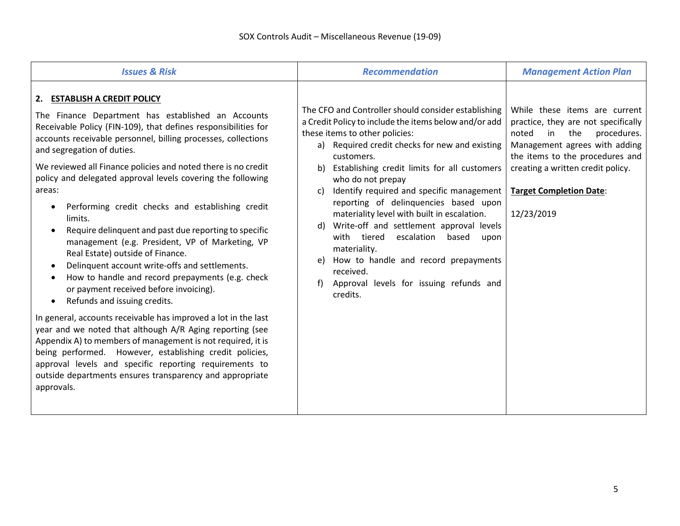| <b>Issues &amp; Risk</b>                                                                                                                                                                                                                                                                                                                                                                                                                                                                                                                                                                                                                                                                                                                                                                                                                                                                                                                                                                                                                                                                                                                                                                              | <b>Recommendation</b>                                                                                                                                                                                                                                                                                                                                                                                                                                                                                                                                                                                                                                               | <b>Management Action Plan</b>                                                                                                                                                                                                                                      |
|-------------------------------------------------------------------------------------------------------------------------------------------------------------------------------------------------------------------------------------------------------------------------------------------------------------------------------------------------------------------------------------------------------------------------------------------------------------------------------------------------------------------------------------------------------------------------------------------------------------------------------------------------------------------------------------------------------------------------------------------------------------------------------------------------------------------------------------------------------------------------------------------------------------------------------------------------------------------------------------------------------------------------------------------------------------------------------------------------------------------------------------------------------------------------------------------------------|---------------------------------------------------------------------------------------------------------------------------------------------------------------------------------------------------------------------------------------------------------------------------------------------------------------------------------------------------------------------------------------------------------------------------------------------------------------------------------------------------------------------------------------------------------------------------------------------------------------------------------------------------------------------|--------------------------------------------------------------------------------------------------------------------------------------------------------------------------------------------------------------------------------------------------------------------|
| 2. ESTABLISH A CREDIT POLICY<br>The Finance Department has established an Accounts<br>Receivable Policy (FIN-109), that defines responsibilities for<br>accounts receivable personnel, billing processes, collections<br>and segregation of duties.<br>We reviewed all Finance policies and noted there is no credit<br>policy and delegated approval levels covering the following<br>areas:<br>Performing credit checks and establishing credit<br>limits.<br>Require delinquent and past due reporting to specific<br>$\bullet$<br>management (e.g. President, VP of Marketing, VP<br>Real Estate) outside of Finance.<br>Delinquent account write-offs and settlements.<br>How to handle and record prepayments (e.g. check<br>or payment received before invoicing).<br>Refunds and issuing credits.<br>In general, accounts receivable has improved a lot in the last<br>year and we noted that although A/R Aging reporting (see<br>Appendix A) to members of management is not required, it is<br>being performed. However, establishing credit policies,<br>approval levels and specific reporting requirements to<br>outside departments ensures transparency and appropriate<br>approvals. | The CFO and Controller should consider establishing<br>a Credit Policy to include the items below and/or add<br>these items to other policies:<br>a) Required credit checks for new and existing<br>customers.<br>Establishing credit limits for all customers<br>who do not prepay<br>Identify required and specific management<br>C)<br>reporting of delinquencies based upon<br>materiality level with built in escalation.<br>Write-off and settlement approval levels<br>d)<br>with tiered escalation<br>based<br>upon<br>materiality.<br>How to handle and record prepayments<br>e)<br>received.<br>Approval levels for issuing refunds and<br>f)<br>credits. | While these items are current<br>practice, they are not specifically<br>noted<br>in<br>procedures.<br>the<br>Management agrees with adding<br>the items to the procedures and<br>creating a written credit policy.<br><b>Target Completion Date:</b><br>12/23/2019 |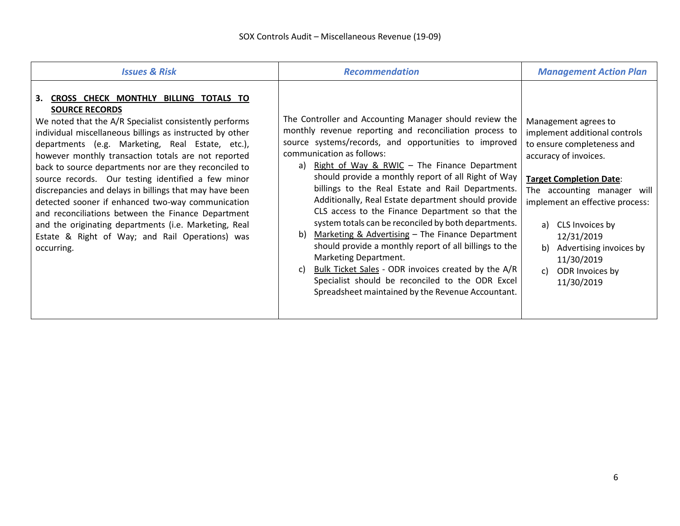| <b>Issues &amp; Risk</b>                                                                                                                                                                                                                                                                                                                                                                                                                                                                                                                                                                                                                                                                                          | <b>Recommendation</b>                                                                                                                                                                                                                                                                                                                                                                                                                                                                                                                                                                                                                                                                                                                                                                                                                                            | <b>Management Action Plan</b>                                                                                                                                                                                                                                                                                                                 |
|-------------------------------------------------------------------------------------------------------------------------------------------------------------------------------------------------------------------------------------------------------------------------------------------------------------------------------------------------------------------------------------------------------------------------------------------------------------------------------------------------------------------------------------------------------------------------------------------------------------------------------------------------------------------------------------------------------------------|------------------------------------------------------------------------------------------------------------------------------------------------------------------------------------------------------------------------------------------------------------------------------------------------------------------------------------------------------------------------------------------------------------------------------------------------------------------------------------------------------------------------------------------------------------------------------------------------------------------------------------------------------------------------------------------------------------------------------------------------------------------------------------------------------------------------------------------------------------------|-----------------------------------------------------------------------------------------------------------------------------------------------------------------------------------------------------------------------------------------------------------------------------------------------------------------------------------------------|
| 3. CROSS CHECK MONTHLY BILLING TOTALS TO<br><b>SOURCE RECORDS</b><br>We noted that the A/R Specialist consistently performs<br>individual miscellaneous billings as instructed by other<br>departments (e.g. Marketing, Real Estate, etc.),<br>however monthly transaction totals are not reported<br>back to source departments nor are they reconciled to<br>source records. Our testing identified a few minor<br>discrepancies and delays in billings that may have been<br>detected sooner if enhanced two-way communication<br>and reconciliations between the Finance Department<br>and the originating departments (i.e. Marketing, Real<br>Estate & Right of Way; and Rail Operations) was<br>occurring. | The Controller and Accounting Manager should review the<br>monthly revenue reporting and reconciliation process to<br>source systems/records, and opportunities to improved<br>communication as follows:<br>Right of Way & RWIC - The Finance Department<br>a)<br>should provide a monthly report of all Right of Way<br>billings to the Real Estate and Rail Departments.<br>Additionally, Real Estate department should provide<br>CLS access to the Finance Department so that the<br>system totals can be reconciled by both departments.<br>Marketing & Advertising - The Finance Department<br>b)<br>should provide a monthly report of all billings to the<br>Marketing Department.<br>Bulk Ticket Sales - ODR invoices created by the A/R<br>C)<br>Specialist should be reconciled to the ODR Excel<br>Spreadsheet maintained by the Revenue Accountant. | Management agrees to<br>implement additional controls<br>to ensure completeness and<br>accuracy of invoices.<br><b>Target Completion Date:</b><br>The accounting manager will<br>implement an effective process:<br>CLS Invoices by<br>a)<br>12/31/2019<br>Advertising invoices by<br>b)<br>11/30/2019<br>ODR Invoices by<br>C)<br>11/30/2019 |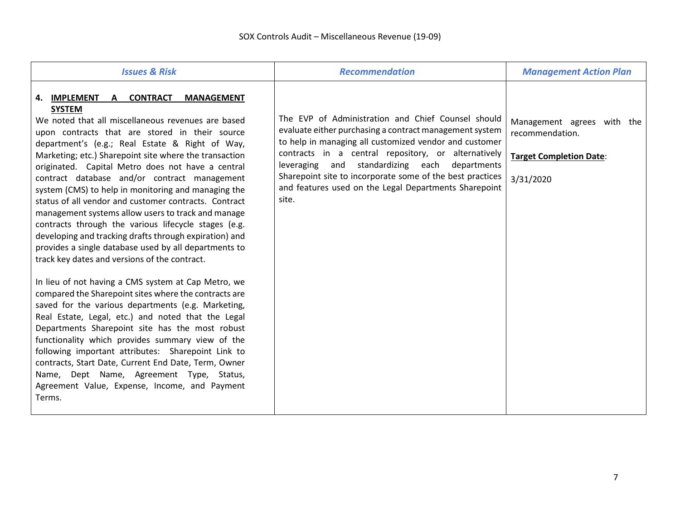| <b>Issues &amp; Risk</b>                                                                                                                                                                                                                                                                                                                                                                                                                                                                                                                                                                                                                                                                                                                                                                                                                                                                                                                                                                                                                                                                                                                                                                                                                                                                                                                             | <b>Recommendation</b>                                                                                                                                                                                                                                                                                                                                                                                          | <b>Management Action Plan</b>                                                                |
|------------------------------------------------------------------------------------------------------------------------------------------------------------------------------------------------------------------------------------------------------------------------------------------------------------------------------------------------------------------------------------------------------------------------------------------------------------------------------------------------------------------------------------------------------------------------------------------------------------------------------------------------------------------------------------------------------------------------------------------------------------------------------------------------------------------------------------------------------------------------------------------------------------------------------------------------------------------------------------------------------------------------------------------------------------------------------------------------------------------------------------------------------------------------------------------------------------------------------------------------------------------------------------------------------------------------------------------------------|----------------------------------------------------------------------------------------------------------------------------------------------------------------------------------------------------------------------------------------------------------------------------------------------------------------------------------------------------------------------------------------------------------------|----------------------------------------------------------------------------------------------|
| 4. IMPLEMENT<br>A CONTRACT<br><b>MANAGEMENT</b><br><b>SYSTEM</b><br>We noted that all miscellaneous revenues are based<br>upon contracts that are stored in their source<br>department's (e.g.; Real Estate & Right of Way,<br>Marketing; etc.) Sharepoint site where the transaction<br>originated. Capital Metro does not have a central<br>contract database and/or contract management<br>system (CMS) to help in monitoring and managing the<br>status of all vendor and customer contracts. Contract<br>management systems allow users to track and manage<br>contracts through the various lifecycle stages (e.g.<br>developing and tracking drafts through expiration) and<br>provides a single database used by all departments to<br>track key dates and versions of the contract.<br>In lieu of not having a CMS system at Cap Metro, we<br>compared the Sharepoint sites where the contracts are<br>saved for the various departments (e.g. Marketing,<br>Real Estate, Legal, etc.) and noted that the Legal<br>Departments Sharepoint site has the most robust<br>functionality which provides summary view of the<br>following important attributes: Sharepoint Link to<br>contracts, Start Date, Current End Date, Term, Owner<br>Name, Dept Name, Agreement Type, Status,<br>Agreement Value, Expense, Income, and Payment<br>Terms. | The EVP of Administration and Chief Counsel should<br>evaluate either purchasing a contract management system<br>to help in managing all customized vendor and customer<br>contracts in a central repository, or alternatively<br>leveraging and standardizing each departments<br>Sharepoint site to incorporate some of the best practices<br>and features used on the Legal Departments Sharepoint<br>site. | Management agrees with the<br>recommendation.<br><b>Target Completion Date:</b><br>3/31/2020 |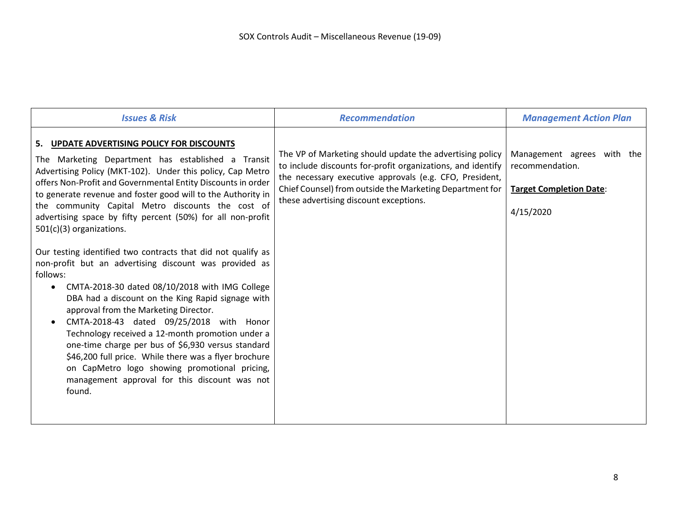| <b>Issues &amp; Risk</b>                                                                                                                                                                                                                                                                                                                                                                                                                                                                                                                                                                                                                                                                                                                                                                                                                                                                                                                                                                                                                                                       | <b>Recommendation</b>                                                                                                                                                                                                                                                                    | <b>Management Action Plan</b>                                                                |
|--------------------------------------------------------------------------------------------------------------------------------------------------------------------------------------------------------------------------------------------------------------------------------------------------------------------------------------------------------------------------------------------------------------------------------------------------------------------------------------------------------------------------------------------------------------------------------------------------------------------------------------------------------------------------------------------------------------------------------------------------------------------------------------------------------------------------------------------------------------------------------------------------------------------------------------------------------------------------------------------------------------------------------------------------------------------------------|------------------------------------------------------------------------------------------------------------------------------------------------------------------------------------------------------------------------------------------------------------------------------------------|----------------------------------------------------------------------------------------------|
| 5. UPDATE ADVERTISING POLICY FOR DISCOUNTS<br>The Marketing Department has established a Transit<br>Advertising Policy (MKT-102). Under this policy, Cap Metro<br>offers Non-Profit and Governmental Entity Discounts in order<br>to generate revenue and foster good will to the Authority in<br>the community Capital Metro discounts the cost of<br>advertising space by fifty percent (50%) for all non-profit<br>$501(c)(3)$ organizations.<br>Our testing identified two contracts that did not qualify as<br>non-profit but an advertising discount was provided as<br>follows:<br>CMTA-2018-30 dated 08/10/2018 with IMG College<br>$\bullet$<br>DBA had a discount on the King Rapid signage with<br>approval from the Marketing Director.<br>CMTA-2018-43 dated 09/25/2018 with Honor<br>Technology received a 12-month promotion under a<br>one-time charge per bus of \$6,930 versus standard<br>\$46,200 full price. While there was a flyer brochure<br>on CapMetro logo showing promotional pricing,<br>management approval for this discount was not<br>found. | The VP of Marketing should update the advertising policy<br>to include discounts for-profit organizations, and identify<br>the necessary executive approvals (e.g. CFO, President,<br>Chief Counsel) from outside the Marketing Department for<br>these advertising discount exceptions. | Management agrees with the<br>recommendation.<br><b>Target Completion Date:</b><br>4/15/2020 |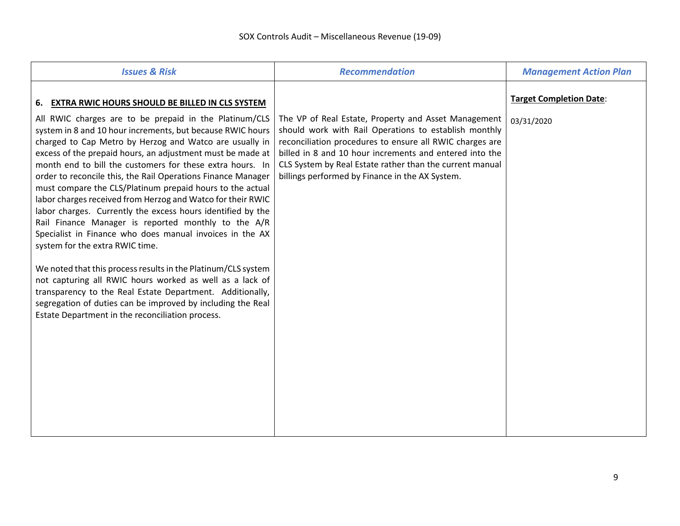| <b>Issues &amp; Risk</b>                                                                                                                                                                                                                                                                                         | <b>Recommendation</b>                                                                                                                                                                                                                                                                       | <b>Management Action Plan</b>                |
|------------------------------------------------------------------------------------------------------------------------------------------------------------------------------------------------------------------------------------------------------------------------------------------------------------------|---------------------------------------------------------------------------------------------------------------------------------------------------------------------------------------------------------------------------------------------------------------------------------------------|----------------------------------------------|
| 6. EXTRA RWIC HOURS SHOULD BE BILLED IN CLS SYSTEM<br>All RWIC charges are to be prepaid in the Platinum/CLS                                                                                                                                                                                                     | The VP of Real Estate, Property and Asset Management                                                                                                                                                                                                                                        | <b>Target Completion Date:</b><br>03/31/2020 |
| system in 8 and 10 hour increments, but because RWIC hours<br>charged to Cap Metro by Herzog and Watco are usually in<br>excess of the prepaid hours, an adjustment must be made at<br>month end to bill the customers for these extra hours. In<br>order to reconcile this, the Rail Operations Finance Manager | should work with Rail Operations to establish monthly<br>reconciliation procedures to ensure all RWIC charges are<br>billed in 8 and 10 hour increments and entered into the<br>CLS System by Real Estate rather than the current manual<br>billings performed by Finance in the AX System. |                                              |
| must compare the CLS/Platinum prepaid hours to the actual<br>labor charges received from Herzog and Watco for their RWIC<br>labor charges. Currently the excess hours identified by the<br>Rail Finance Manager is reported monthly to the A/R                                                                   |                                                                                                                                                                                                                                                                                             |                                              |
| Specialist in Finance who does manual invoices in the AX<br>system for the extra RWIC time.<br>We noted that this process results in the Platinum/CLS system                                                                                                                                                     |                                                                                                                                                                                                                                                                                             |                                              |
| not capturing all RWIC hours worked as well as a lack of<br>transparency to the Real Estate Department. Additionally,<br>segregation of duties can be improved by including the Real<br>Estate Department in the reconciliation process.                                                                         |                                                                                                                                                                                                                                                                                             |                                              |
|                                                                                                                                                                                                                                                                                                                  |                                                                                                                                                                                                                                                                                             |                                              |
|                                                                                                                                                                                                                                                                                                                  |                                                                                                                                                                                                                                                                                             |                                              |
|                                                                                                                                                                                                                                                                                                                  |                                                                                                                                                                                                                                                                                             |                                              |